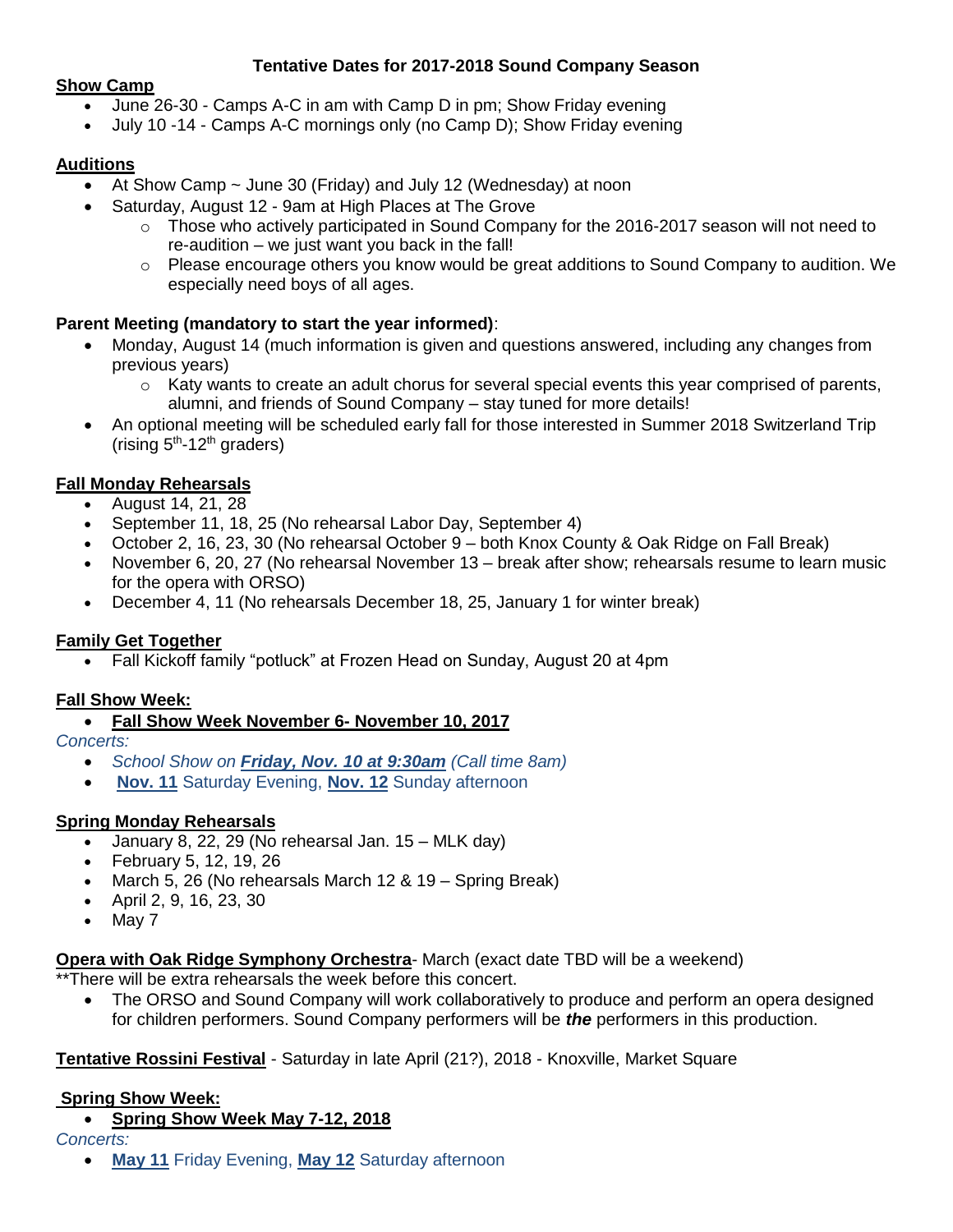# **Tentative Dates for 2017-2018 Sound Company Season**

#### **Show Camp**

- June 26-30 Camps A-C in am with Camp D in pm; Show Friday evening
- July 10 -14 Camps A-C mornings only (no Camp D); Show Friday evening

## **Auditions**

- At Show Camp ~ June 30 (Friday) and July 12 (Wednesday) at noon
- Saturday, August 12 9am at High Places at The Grove
	- $\circ$  Those who actively participated in Sound Company for the 2016-2017 season will not need to re-audition – we just want you back in the fall!
	- o Please encourage others you know would be great additions to Sound Company to audition. We especially need boys of all ages.

# **Parent Meeting (mandatory to start the year informed)**:

- Monday, August 14 (much information is given and questions answered, including any changes from previous years)
	- $\circ$  Katy wants to create an adult chorus for several special events this year comprised of parents, alumni, and friends of Sound Company – stay tuned for more details!
- An optional meeting will be scheduled early fall for those interested in Summer 2018 Switzerland Trip (rising  $5<sup>th</sup>$ -12<sup>th</sup> graders)

## **Fall Monday Rehearsals**

- August 14, 21, 28
- September 11, 18, 25 (No rehearsal Labor Day, September 4)
- October 2, 16, 23, 30 (No rehearsal October 9 both Knox County & Oak Ridge on Fall Break)
- November 6, 20, 27 (No rehearsal November 13 break after show; rehearsals resume to learn music for the opera with ORSO)
- December 4, 11 (No rehearsals December 18, 25, January 1 for winter break)

## **Family Get Together**

Fall Kickoff family "potluck" at Frozen Head on Sunday, August 20 at 4pm

## **Fall Show Week:**

**Fall Show Week November 6- November 10, 2017**

*Concerts:* 

- *School Show on Friday, Nov. 10 at 9:30am (Call time 8am)*
- **Nov. 11** Saturday Evening, **Nov. 12** Sunday afternoon

## **Spring Monday Rehearsals**

- January 8, 22, 29 (No rehearsal Jan. 15 MLK day)
- February 5, 12, 19, 26
- March 5, 26 (No rehearsals March 12 & 19 Spring Break)
- April 2, 9, 16, 23, 30
- $\bullet$  May 7

**Opera with Oak Ridge Symphony Orchestra**- March (exact date TBD will be a weekend)

\*\*There will be extra rehearsals the week before this concert.

 The ORSO and Sound Company will work collaboratively to produce and perform an opera designed for children performers. Sound Company performers will be *the* performers in this production.

## **Tentative Rossini Festival** - Saturday in late April (21?), 2018 - Knoxville, Market Square

## **Spring Show Week:**

**Spring Show Week May 7-12, 2018**

*Concerts:* 

**May 11** Friday Evening, **May 12** Saturday afternoon